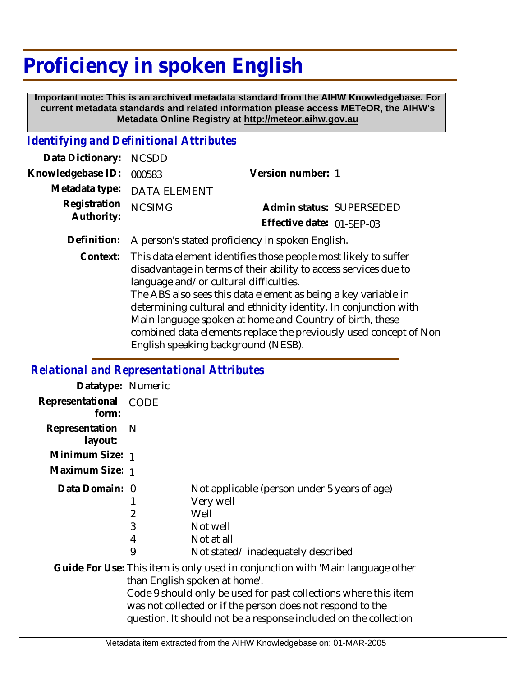## **Proficiency in spoken English**

 **Important note: This is an archived metadata standard from the AIHW Knowledgebase. For current metadata standards and related information please access METeOR, the AIHW's Metadata Online Registry at http://meteor.aihw.gov.au**

## *Identifying and Definitional Attributes*

| Data Dictionary: NCSDD     |                                                                                                                                              |                           |                          |
|----------------------------|----------------------------------------------------------------------------------------------------------------------------------------------|---------------------------|--------------------------|
| Knowledgebase ID: 000583   |                                                                                                                                              | Version number: 1         |                          |
|                            | Metadata type: DATA ELEMENT                                                                                                                  |                           |                          |
| Registration<br>Authority: | <b>NCSIMG</b>                                                                                                                                |                           | Admin status: SUPERSEDED |
|                            |                                                                                                                                              | Effective date: 01-SEP-03 |                          |
|                            | Definition: A person's stated proficiency in spoken English.                                                                                 |                           |                          |
|                            | Context: This data element identifies those people most likely to suffer<br>disadvantage in terms of their ability to access services due to |                           |                          |

language and/or cultural difficulties. The ABS also sees this data element as being a key variable in determining cultural and ethnicity identity. In conjunction with Main language spoken at home and Country of birth, these combined data elements replace the previously used concept of Non English speaking background (NESB).

## *Relational and Representational Attributes*

| Datatype: Numeric         |                               |                                                                                                                                                                                                                                                                                                                      |
|---------------------------|-------------------------------|----------------------------------------------------------------------------------------------------------------------------------------------------------------------------------------------------------------------------------------------------------------------------------------------------------------------|
| Representational<br>form: | <b>CODE</b>                   |                                                                                                                                                                                                                                                                                                                      |
| Representation<br>layout: | – N                           |                                                                                                                                                                                                                                                                                                                      |
| Minimum Size: 1           |                               |                                                                                                                                                                                                                                                                                                                      |
| Maximum Size: 1           |                               |                                                                                                                                                                                                                                                                                                                      |
| Data Domain: 0            | $\overline{2}$<br>3<br>4<br>9 | Not applicable (person under 5 years of age)<br>Very well<br>Well<br>Not well<br>Not at all<br>Not stated/inadequately described                                                                                                                                                                                     |
|                           |                               | Guide For Use: This item is only used in conjunction with 'Main language other<br>than English spoken at home'.<br>Code 9 should only be used for past collections where this item<br>was not collected or if the person does not respond to the<br>question. It should not be a response included on the collection |